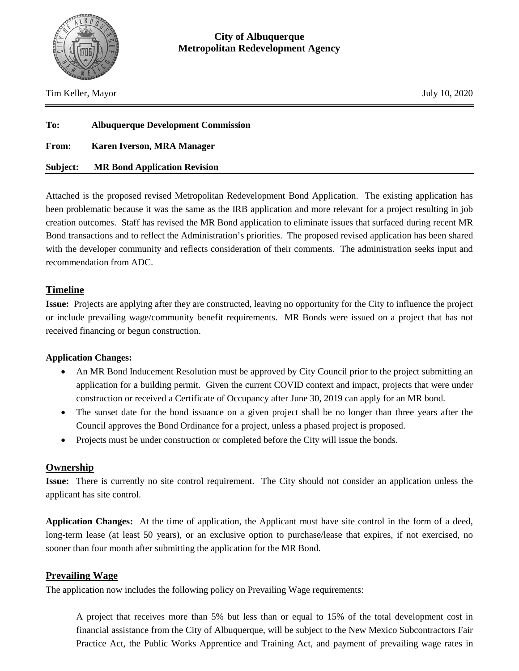

Tim Keller, Mayor July 10, 2020

| To:          | <b>Albuquerque Development Commission</b> |  |
|--------------|-------------------------------------------|--|
| <b>From:</b> | <b>Karen Iverson, MRA Manager</b>         |  |
| Subject:     | <b>MR Bond Application Revision</b>       |  |

Attached is the proposed revised Metropolitan Redevelopment Bond Application. The existing application has been problematic because it was the same as the IRB application and more relevant for a project resulting in job creation outcomes. Staff has revised the MR Bond application to eliminate issues that surfaced during recent MR Bond transactions and to reflect the Administration's priorities. The proposed revised application has been shared with the developer community and reflects consideration of their comments. The administration seeks input and recommendation from ADC.

# **Timeline**

**Issue:** Projects are applying after they are constructed, leaving no opportunity for the City to influence the project or include prevailing wage/community benefit requirements. MR Bonds were issued on a project that has not received financing or begun construction.

#### **Application Changes:**

- An MR Bond Inducement Resolution must be approved by City Council prior to the project submitting an application for a building permit. Given the current COVID context and impact, projects that were under construction or received a Certificate of Occupancy after June 30, 2019 can apply for an MR bond.
- The sunset date for the bond issuance on a given project shall be no longer than three years after the Council approves the Bond Ordinance for a project, unless a phased project is proposed.
- Projects must be under construction or completed before the City will issue the bonds.

#### **Ownership**

**Issue:** There is currently no site control requirement. The City should not consider an application unless the applicant has site control.

**Application Changes:** At the time of application, the Applicant must have site control in the form of a deed, long-term lease (at least 50 years), or an exclusive option to purchase/lease that expires, if not exercised, no sooner than four month after submitting the application for the MR Bond.

#### **Prevailing Wage**

The application now includes the following policy on Prevailing Wage requirements:

A project that receives more than 5% but less than or equal to 15% of the total development cost in financial assistance from the City of Albuquerque, will be subject to the New Mexico Subcontractors Fair Practice Act, the Public Works Apprentice and Training Act, and payment of prevailing wage rates in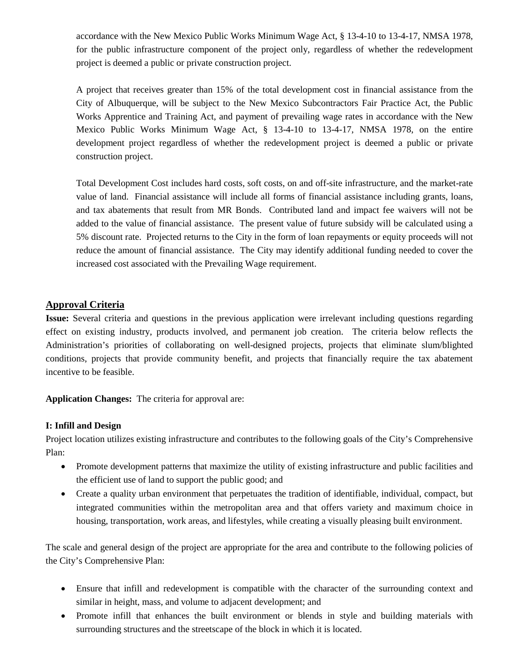accordance with the New Mexico Public Works Minimum Wage Act, § 13-4-10 to 13-4-17, NMSA 1978, for the public infrastructure component of the project only, regardless of whether the redevelopment project is deemed a public or private construction project.

A project that receives greater than 15% of the total development cost in financial assistance from the City of Albuquerque, will be subject to the New Mexico Subcontractors Fair Practice Act, the Public Works Apprentice and Training Act, and payment of prevailing wage rates in accordance with the New Mexico Public Works Minimum Wage Act, § 13-4-10 to 13-4-17, NMSA 1978, on the entire development project regardless of whether the redevelopment project is deemed a public or private construction project.

Total Development Cost includes hard costs, soft costs, on and off-site infrastructure, and the market-rate value of land. Financial assistance will include all forms of financial assistance including grants, loans, and tax abatements that result from MR Bonds. Contributed land and impact fee waivers will not be added to the value of financial assistance. The present value of future subsidy will be calculated using a 5% discount rate. Projected returns to the City in the form of loan repayments or equity proceeds will not reduce the amount of financial assistance. The City may identify additional funding needed to cover the increased cost associated with the Prevailing Wage requirement.

#### **Approval Criteria**

**Issue:** Several criteria and questions in the previous application were irrelevant including questions regarding effect on existing industry, products involved, and permanent job creation. The criteria below reflects the Administration's priorities of collaborating on well-designed projects, projects that eliminate slum/blighted conditions, projects that provide community benefit, and projects that financially require the tax abatement incentive to be feasible.

**Application Changes:** The criteria for approval are:

#### **I: Infill and Design**

Project location utilizes existing infrastructure and contributes to the following goals of the City's Comprehensive Plan:

- Promote development patterns that maximize the utility of existing infrastructure and public facilities and the efficient use of land to support the public good; and
- Create a quality urban environment that perpetuates the tradition of identifiable, individual, compact, but integrated communities within the metropolitan area and that offers variety and maximum choice in housing, transportation, work areas, and lifestyles, while creating a visually pleasing built environment.

The scale and general design of the project are appropriate for the area and contribute to the following policies of the City's Comprehensive Plan:

- Ensure that infill and redevelopment is compatible with the character of the surrounding context and similar in height, mass, and volume to adjacent development; and
- Promote infill that enhances the built environment or blends in style and building materials with surrounding structures and the streetscape of the block in which it is located.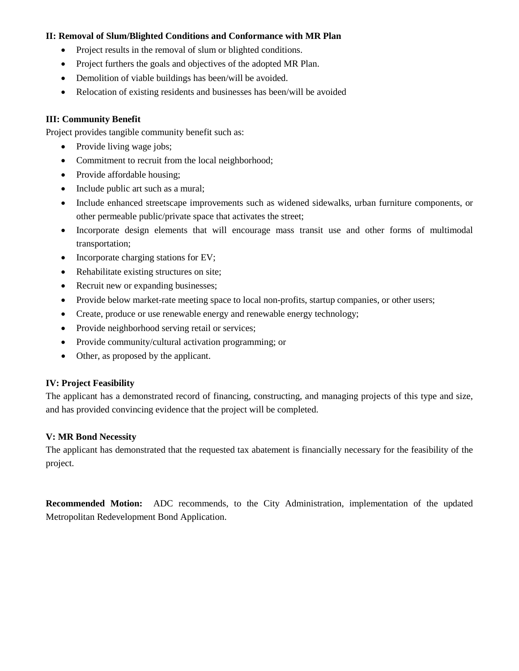#### **II: Removal of Slum/Blighted Conditions and Conformance with MR Plan**

- Project results in the removal of slum or blighted conditions.
- Project furthers the goals and objectives of the adopted MR Plan.
- Demolition of viable buildings has been/will be avoided.
- Relocation of existing residents and businesses has been/will be avoided

#### **III: Community Benefit**

Project provides tangible community benefit such as:

- Provide living wage jobs;
- Commitment to recruit from the local neighborhood;
- Provide affordable housing;
- Include public art such as a mural;
- Include enhanced streetscape improvements such as widened sidewalks, urban furniture components, or other permeable public/private space that activates the street;
- Incorporate design elements that will encourage mass transit use and other forms of multimodal transportation;
- Incorporate charging stations for EV;
- Rehabilitate existing structures on site;
- Recruit new or expanding businesses;
- Provide below market-rate meeting space to local non-profits, startup companies, or other users;
- Create, produce or use renewable energy and renewable energy technology;
- Provide neighborhood serving retail or services;
- Provide community/cultural activation programming; or
- Other, as proposed by the applicant.

#### **IV: Project Feasibility**

The applicant has a demonstrated record of financing, constructing, and managing projects of this type and size, and has provided convincing evidence that the project will be completed.

#### **V: MR Bond Necessity**

The applicant has demonstrated that the requested tax abatement is financially necessary for the feasibility of the project.

**Recommended Motion:** ADC recommends, to the City Administration, implementation of the updated Metropolitan Redevelopment Bond Application.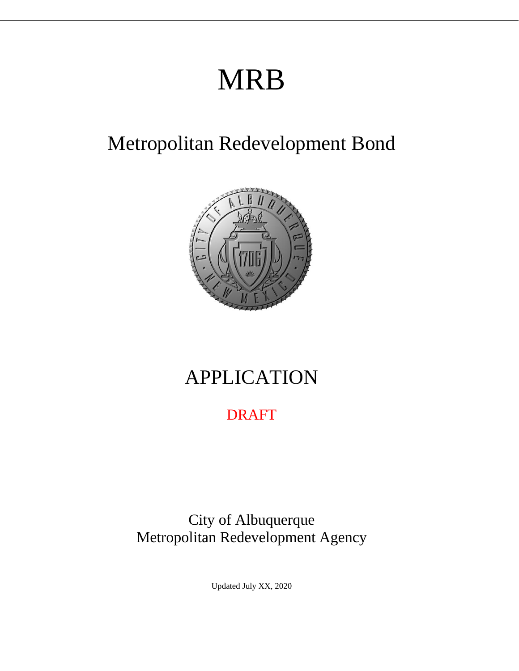# MRB

# Metropolitan Redevelopment Bond



# APPLICATION

# DRAFT

City of Albuquerque Metropolitan Redevelopment Agency

Updated July XX, 2020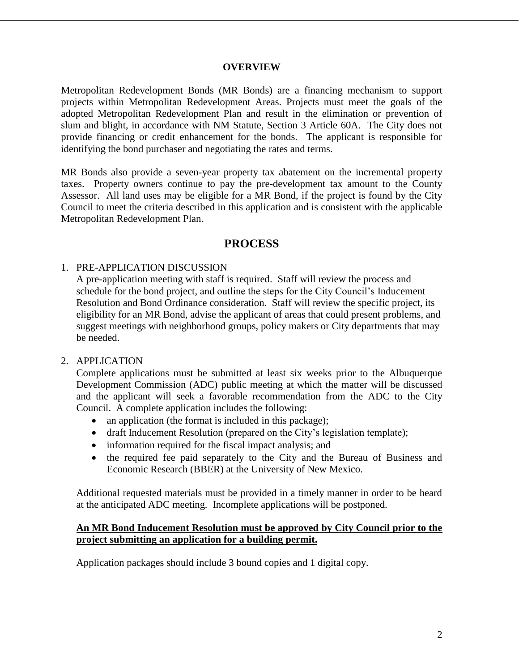#### **OVERVIEW**

Metropolitan Redevelopment Bonds (MR Bonds) are a financing mechanism to support projects within Metropolitan Redevelopment Areas. Projects must meet the goals of the adopted Metropolitan Redevelopment Plan and result in the elimination or prevention of slum and blight, in accordance with NM Statute, Section 3 Article 60A. The City does not provide financing or credit enhancement for the bonds. The applicant is responsible for identifying the bond purchaser and negotiating the rates and terms.

MR Bonds also provide a seven-year property tax abatement on the incremental property taxes. Property owners continue to pay the pre-development tax amount to the County Assessor. All land uses may be eligible for a MR Bond, if the project is found by the City Council to meet the criteria described in this application and is consistent with the applicable Metropolitan Redevelopment Plan.

### **PROCESS**

#### 1. PRE-APPLICATION DISCUSSION

A pre-application meeting with staff is required. Staff will review the process and schedule for the bond project, and outline the steps for the City Council's Inducement Resolution and Bond Ordinance consideration. Staff will review the specific project, its eligibility for an MR Bond, advise the applicant of areas that could present problems, and suggest meetings with neighborhood groups, policy makers or City departments that may be needed.

#### 2. APPLICATION

Complete applications must be submitted at least six weeks prior to the Albuquerque Development Commission (ADC) public meeting at which the matter will be discussed and the applicant will seek a favorable recommendation from the ADC to the City Council. A complete application includes the following:

- an application (the format is included in this package);
- draft Inducement Resolution (prepared on the City's legislation template);
- information required for the fiscal impact analysis; and
- the required fee paid separately to the City and the Bureau of Business and Economic Research (BBER) at the University of New Mexico.

Additional requested materials must be provided in a timely manner in order to be heard at the anticipated ADC meeting. Incomplete applications will be postponed.

#### **An MR Bond Inducement Resolution must be approved by City Council prior to the project submitting an application for a building permit.**

Application packages should include 3 bound copies and 1 digital copy.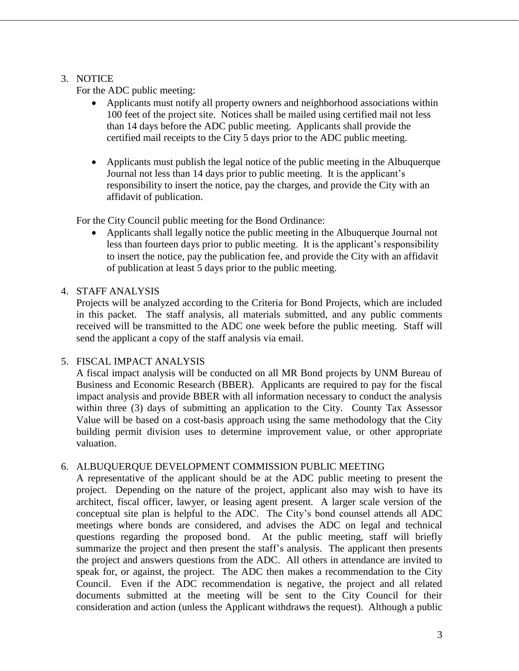#### 3. NOTICE

For the ADC public meeting:

- Applicants must notify all property owners and neighborhood associations within 100 feet of the project site. Notices shall be mailed using certified mail not less than 14 days before the ADC public meeting. Applicants shall provide the certified mail receipts to the City 5 days prior to the ADC public meeting.
- Applicants must publish the legal notice of the public meeting in the Albuquerque Journal not less than 14 days prior to public meeting. It is the applicant's responsibility to insert the notice, pay the charges, and provide the City with an affidavit of publication.

For the City Council public meeting for the Bond Ordinance:

 Applicants shall legally notice the public meeting in the Albuquerque Journal not less than fourteen days prior to public meeting. It is the applicant's responsibility to insert the notice, pay the publication fee, and provide the City with an affidavit of publication at least 5 days prior to the public meeting.

#### 4. STAFF ANALYSIS

Projects will be analyzed according to the Criteria for Bond Projects, which are included in this packet. The staff analysis, all materials submitted, and any public comments received will be transmitted to the ADC one week before the public meeting. Staff will send the applicant a copy of the staff analysis via email.

#### 5. FISCAL IMPACT ANALYSIS

A fiscal impact analysis will be conducted on all MR Bond projects by UNM Bureau of Business and Economic Research (BBER). Applicants are required to pay for the fiscal impact analysis and provide BBER with all information necessary to conduct the analysis within three (3) days of submitting an application to the City. County Tax Assessor Value will be based on a cost-basis approach using the same methodology that the City building permit division uses to determine improvement value, or other appropriate valuation.

#### 6. ALBUQUERQUE DEVELOPMENT COMMISSION PUBLIC MEETING

A representative of the applicant should be at the ADC public meeting to present the project. Depending on the nature of the project, applicant also may wish to have its architect, fiscal officer, lawyer, or leasing agent present. A larger scale version of the conceptual site plan is helpful to the ADC. The City's bond counsel attends all ADC meetings where bonds are considered, and advises the ADC on legal and technical questions regarding the proposed bond. At the public meeting, staff will briefly summarize the project and then present the staff's analysis. The applicant then presents the project and answers questions from the ADC. All others in attendance are invited to speak for, or against, the project. The ADC then makes a recommendation to the City Council. Even if the ADC recommendation is negative, the project and all related documents submitted at the meeting will be sent to the City Council for their consideration and action (unless the Applicant withdraws the request). Although a public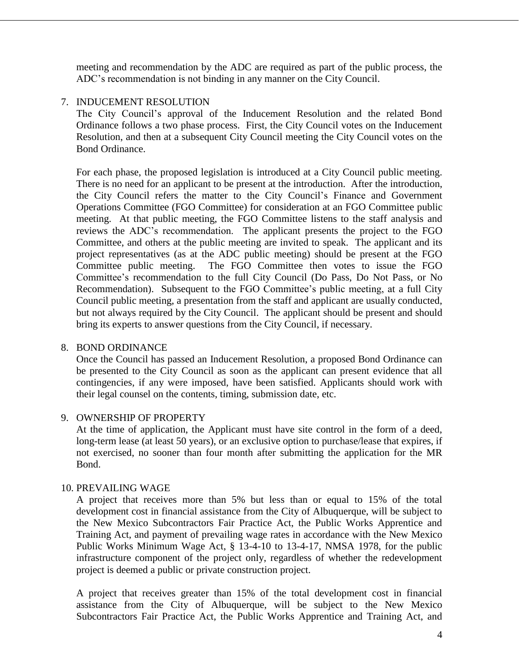meeting and recommendation by the ADC are required as part of the public process, the ADC's recommendation is not binding in any manner on the City Council.

#### 7. INDUCEMENT RESOLUTION

The City Council's approval of the Inducement Resolution and the related Bond Ordinance follows a two phase process. First, the City Council votes on the Inducement Resolution, and then at a subsequent City Council meeting the City Council votes on the Bond Ordinance.

For each phase, the proposed legislation is introduced at a City Council public meeting. There is no need for an applicant to be present at the introduction. After the introduction, the City Council refers the matter to the City Council's Finance and Government Operations Committee (FGO Committee) for consideration at an FGO Committee public meeting. At that public meeting, the FGO Committee listens to the staff analysis and reviews the ADC's recommendation. The applicant presents the project to the FGO Committee, and others at the public meeting are invited to speak. The applicant and its project representatives (as at the ADC public meeting) should be present at the FGO Committee public meeting. The FGO Committee then votes to issue the FGO Committee's recommendation to the full City Council (Do Pass, Do Not Pass, or No Recommendation). Subsequent to the FGO Committee's public meeting, at a full City Council public meeting, a presentation from the staff and applicant are usually conducted, but not always required by the City Council. The applicant should be present and should bring its experts to answer questions from the City Council, if necessary.

#### 8. BOND ORDINANCE

Once the Council has passed an Inducement Resolution, a proposed Bond Ordinance can be presented to the City Council as soon as the applicant can present evidence that all contingencies, if any were imposed, have been satisfied. Applicants should work with their legal counsel on the contents, timing, submission date, etc.

#### 9. OWNERSHIP OF PROPERTY

At the time of application, the Applicant must have site control in the form of a deed, long-term lease (at least 50 years), or an exclusive option to purchase/lease that expires, if not exercised, no sooner than four month after submitting the application for the MR Bond.

#### 10. PREVAILING WAGE

A project that receives more than 5% but less than or equal to 15% of the total development cost in financial assistance from the City of Albuquerque, will be subject to the New Mexico Subcontractors Fair Practice Act, the Public Works Apprentice and Training Act, and payment of prevailing wage rates in accordance with the New Mexico Public Works Minimum Wage Act, § 13-4-10 to 13-4-17, NMSA 1978, for the public infrastructure component of the project only, regardless of whether the redevelopment project is deemed a public or private construction project.

A project that receives greater than 15% of the total development cost in financial assistance from the City of Albuquerque, will be subject to the New Mexico Subcontractors Fair Practice Act, the Public Works Apprentice and Training Act, and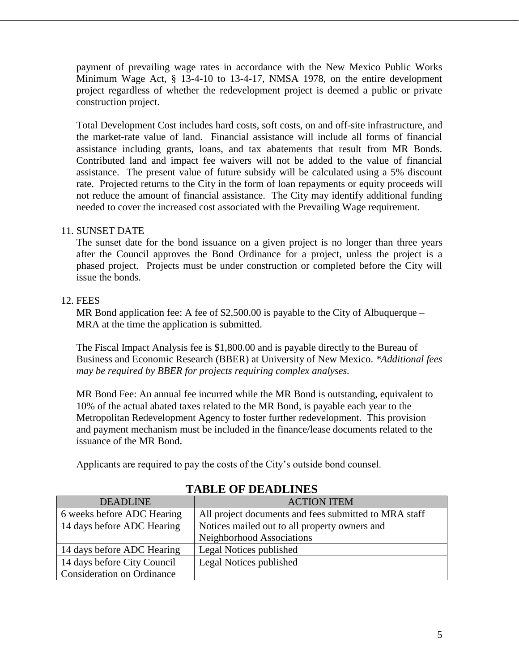payment of prevailing wage rates in accordance with the New Mexico Public Works Minimum Wage Act, § 13-4-10 to 13-4-17, NMSA 1978, on the entire development project regardless of whether the redevelopment project is deemed a public or private construction project.

Total Development Cost includes hard costs, soft costs, on and off-site infrastructure, and the market-rate value of land. Financial assistance will include all forms of financial assistance including grants, loans, and tax abatements that result from MR Bonds. Contributed land and impact fee waivers will not be added to the value of financial assistance. The present value of future subsidy will be calculated using a 5% discount rate. Projected returns to the City in the form of loan repayments or equity proceeds will not reduce the amount of financial assistance. The City may identify additional funding needed to cover the increased cost associated with the Prevailing Wage requirement.

#### 11. SUNSET DATE

The sunset date for the bond issuance on a given project is no longer than three years after the Council approves the Bond Ordinance for a project, unless the project is a phased project. Projects must be under construction or completed before the City will issue the bonds.

#### 12. FEES

MR Bond application fee: A fee of \$2,500.00 is payable to the City of Albuquerque – MRA at the time the application is submitted.

The Fiscal Impact Analysis fee is \$1,800.00 and is payable directly to the Bureau of Business and Economic Research (BBER) at University of New Mexico. *\*Additional fees may be required by BBER for projects requiring complex analyses.*

MR Bond Fee: An annual fee incurred while the MR Bond is outstanding, equivalent to 10% of the actual abated taxes related to the MR Bond, is payable each year to the Metropolitan Redevelopment Agency to foster further redevelopment. This provision and payment mechanism must be included in the finance/lease documents related to the issuance of the MR Bond.

Applicants are required to pay the costs of the City's outside bond counsel.

| <b>DEADLINE</b>                   | <b>ACTION ITEM</b>                                    |
|-----------------------------------|-------------------------------------------------------|
| 6 weeks before ADC Hearing        | All project documents and fees submitted to MRA staff |
| 14 days before ADC Hearing        | Notices mailed out to all property owners and         |
|                                   | Neighborhood Associations                             |
| 14 days before ADC Hearing        | Legal Notices published                               |
| 14 days before City Council       | Legal Notices published                               |
| <b>Consideration on Ordinance</b> |                                                       |

# **TABLE OF DEADLINES**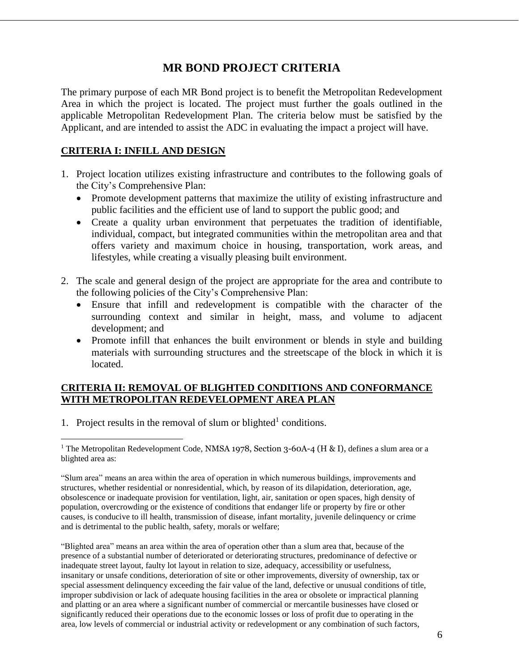# **MR BOND PROJECT CRITERIA**

The primary purpose of each MR Bond project is to benefit the Metropolitan Redevelopment Area in which the project is located. The project must further the goals outlined in the applicable Metropolitan Redevelopment Plan. The criteria below must be satisfied by the Applicant, and are intended to assist the ADC in evaluating the impact a project will have.

### **CRITERIA I: INFILL AND DESIGN**

- 1. Project location utilizes existing infrastructure and contributes to the following goals of the City's Comprehensive Plan:
	- Promote development patterns that maximize the utility of existing infrastructure and public facilities and the efficient use of land to support the public good; and
	- Create a quality urban environment that perpetuates the tradition of identifiable, individual, compact, but integrated communities within the metropolitan area and that offers variety and maximum choice in housing, transportation, work areas, and lifestyles, while creating a visually pleasing built environment.
- 2. The scale and general design of the project are appropriate for the area and contribute to the following policies of the City's Comprehensive Plan:
	- Ensure that infill and redevelopment is compatible with the character of the surrounding context and similar in height, mass, and volume to adjacent development; and
	- Promote infill that enhances the built environment or blends in style and building materials with surrounding structures and the streetscape of the block in which it is located.

#### **CRITERIA II: REMOVAL OF BLIGHTED CONDITIONS AND CONFORMANCE WITH METROPOLITAN REDEVELOPMENT AREA PLAN**

1. Project results in the removal of slum or blighted<sup>1</sup> conditions.

 $\overline{a}$ 

"Blighted area" means an area within the area of operation other than a slum area that, because of the presence of a substantial number of deteriorated or deteriorating structures, predominance of defective or inadequate street layout, faulty lot layout in relation to size, adequacy, accessibility or usefulness, insanitary or unsafe conditions, deterioration of site or other improvements, diversity of ownership, tax or special assessment delinquency exceeding the fair value of the land, defective or unusual conditions of title, improper subdivision or lack of adequate housing facilities in the area or obsolete or impractical planning and platting or an area where a significant number of commercial or mercantile businesses have closed or significantly reduced their operations due to the economic losses or loss of profit due to operating in the area, low levels of commercial or industrial activity or redevelopment or any combination of such factors,

<sup>&</sup>lt;sup>1</sup> The Metropolitan Redevelopment Code, NMSA 1978, Section 3-60A-4 (H & I), defines a slum area or a blighted area as:

<sup>&</sup>quot;Slum area" means an area within the area of operation in which numerous buildings, improvements and structures, whether residential or nonresidential, which, by reason of its dilapidation, deterioration, age, obsolescence or inadequate provision for ventilation, light, air, sanitation or open spaces, high density of population, overcrowding or the existence of conditions that endanger life or property by fire or other causes, is conducive to ill health, transmission of disease, infant mortality, juvenile delinquency or crime and is detrimental to the public health, safety, morals or welfare;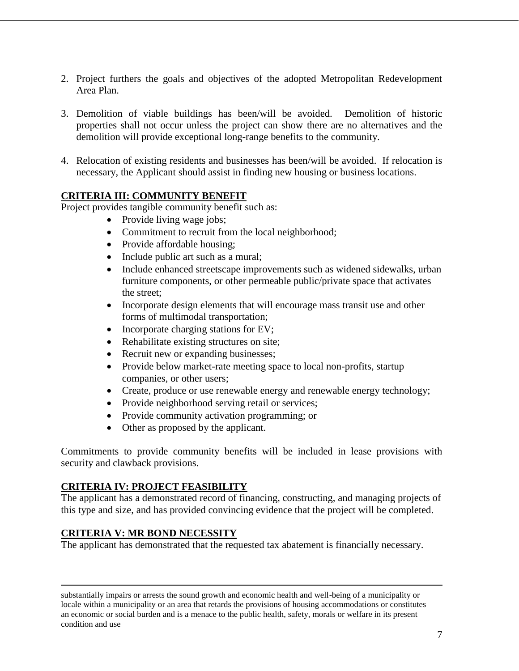- 2. Project furthers the goals and objectives of the adopted Metropolitan Redevelopment Area Plan.
- 3. Demolition of viable buildings has been/will be avoided. Demolition of historic properties shall not occur unless the project can show there are no alternatives and the demolition will provide exceptional long-range benefits to the community.
- 4. Relocation of existing residents and businesses has been/will be avoided. If relocation is necessary, the Applicant should assist in finding new housing or business locations.

#### **CRITERIA III: COMMUNITY BENEFIT**

Project provides tangible community benefit such as:

- Provide living wage jobs;
	- Commitment to recruit from the local neighborhood;
	- Provide affordable housing;
	- Include public art such as a mural;
	- Include enhanced streetscape improvements such as widened sidewalks, urban furniture components, or other permeable public/private space that activates the street;
	- Incorporate design elements that will encourage mass transit use and other forms of multimodal transportation;
	- Incorporate charging stations for EV;
	- Rehabilitate existing structures on site;
	- Recruit new or expanding businesses;
	- Provide below market-rate meeting space to local non-profits, startup companies, or other users;
	- Create, produce or use renewable energy and renewable energy technology;
	- Provide neighborhood serving retail or services;
- Provide community activation programming; or
- Other as proposed by the applicant.

Commitments to provide community benefits will be included in lease provisions with security and clawback provisions.

#### **CRITERIA IV: PROJECT FEASIBILITY**

The applicant has a demonstrated record of financing, constructing, and managing projects of this type and size, and has provided convincing evidence that the project will be completed.

# **CRITERIA V: MR BOND NECESSITY**

 $\overline{a}$ 

The applicant has demonstrated that the requested tax abatement is financially necessary.

substantially impairs or arrests the sound growth and economic health and well-being of a municipality or locale within a municipality or an area that retards the provisions of housing accommodations or constitutes an economic or social burden and is a menace to the public health, safety, morals or welfare in its present condition and use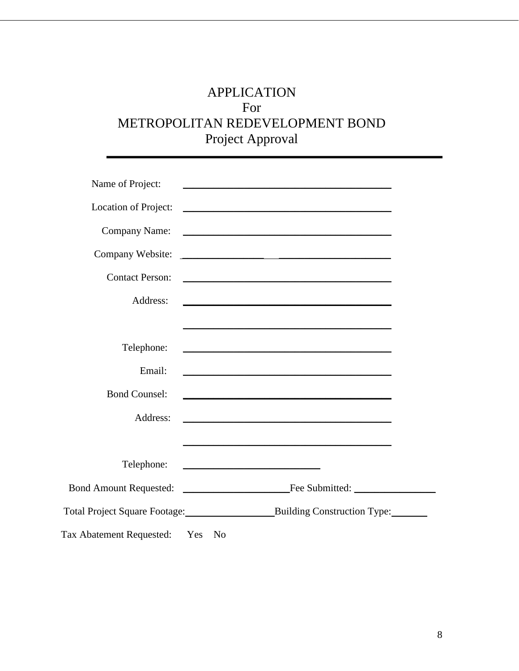# APPLICATION For METROPOLITAN REDEVELOPMENT BOND Project Approval

| Name of Project:                | <u> 1989 - Johann Stoff, amerikansk politiker (* 1908)</u>                                                             |
|---------------------------------|------------------------------------------------------------------------------------------------------------------------|
| Location of Project:            | <u> 1989 - Johann Barn, fransk politik fotograf (d. 1989)</u>                                                          |
| Company Name:                   |                                                                                                                        |
| Company Website:                | <u> 1989 - Johann Harry Harry Harry Harry Harry Harry Harry Harry Harry Harry Harry Harry Harry Harry Harry Harry</u>  |
| <b>Contact Person:</b>          | <u> 1989 - Johann Barn, amerikansk politiker (d. 1989)</u>                                                             |
| Address:                        |                                                                                                                        |
|                                 | <u> 1989 - Johann Barbara, marka a shekara tsa na shekara tsa na shekara tsa 1989 - An tsa na shekara tsa na sheka</u> |
| Telephone:                      |                                                                                                                        |
| Email:                          | <u> 1989 - Johann Stoff, amerikansk politiker (d. 1989)</u>                                                            |
| <b>Bond Counsel:</b>            | <u> 1989 - Johann Barbara, margaret eta idazlea (h. 1989).</u>                                                         |
| Address:                        |                                                                                                                        |
|                                 |                                                                                                                        |
| Telephone:                      | <u> 1989 - Johann Barbara, martin amerikan basal dan berasal dan berasal dalam basal dalam basal dalam basal dala</u>  |
|                                 |                                                                                                                        |
|                                 |                                                                                                                        |
| Tax Abatement Requested: Yes No |                                                                                                                        |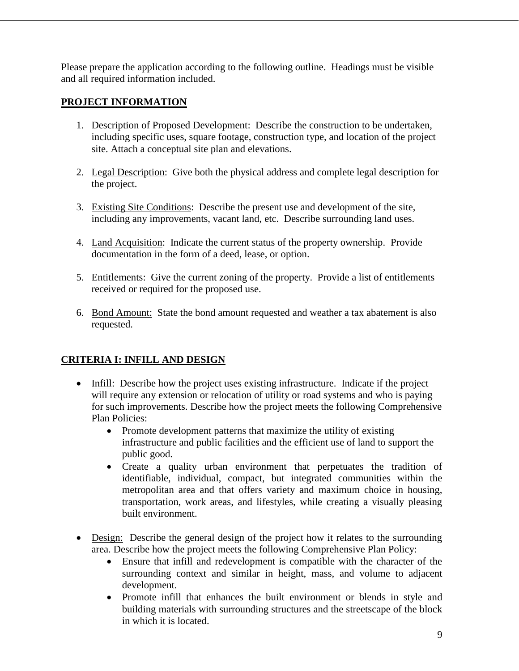Please prepare the application according to the following outline. Headings must be visible and all required information included.

## **PROJECT INFORMATION**

- 1. Description of Proposed Development: Describe the construction to be undertaken, including specific uses, square footage, construction type, and location of the project site. Attach a conceptual site plan and elevations.
- 2. Legal Description: Give both the physical address and complete legal description for the project.
- 3. Existing Site Conditions: Describe the present use and development of the site, including any improvements, vacant land, etc. Describe surrounding land uses.
- 4. Land Acquisition: Indicate the current status of the property ownership. Provide documentation in the form of a deed, lease, or option.
- 5. Entitlements: Give the current zoning of the property. Provide a list of entitlements received or required for the proposed use.
- 6. Bond Amount: State the bond amount requested and weather a tax abatement is also requested.

# **CRITERIA I: INFILL AND DESIGN**

- Infill: Describe how the project uses existing infrastructure. Indicate if the project will require any extension or relocation of utility or road systems and who is paying for such improvements. Describe how the project meets the following Comprehensive Plan Policies:
	- Promote development patterns that maximize the utility of existing infrastructure and public facilities and the efficient use of land to support the public good.
	- Create a quality urban environment that perpetuates the tradition of identifiable, individual, compact, but integrated communities within the metropolitan area and that offers variety and maximum choice in housing, transportation, work areas, and lifestyles, while creating a visually pleasing built environment.
- Design: Describe the general design of the project how it relates to the surrounding area. Describe how the project meets the following Comprehensive Plan Policy:
	- Ensure that infill and redevelopment is compatible with the character of the surrounding context and similar in height, mass, and volume to adjacent development.
	- Promote infill that enhances the built environment or blends in style and building materials with surrounding structures and the streetscape of the block in which it is located.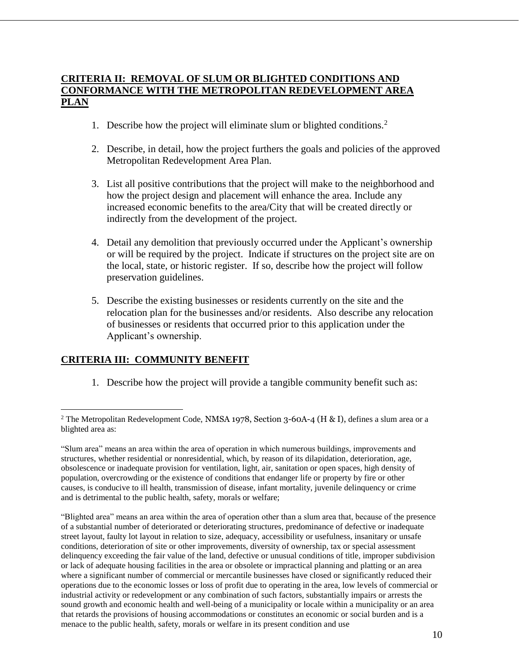#### **CRITERIA II: REMOVAL OF SLUM OR BLIGHTED CONDITIONS AND CONFORMANCE WITH THE METROPOLITAN REDEVELOPMENT AREA PLAN**

- 1. Describe how the project will eliminate slum or blighted conditions.<sup>2</sup>
- 2. Describe, in detail, how the project furthers the goals and policies of the approved Metropolitan Redevelopment Area Plan.
- 3. List all positive contributions that the project will make to the neighborhood and how the project design and placement will enhance the area. Include any increased economic benefits to the area/City that will be created directly or indirectly from the development of the project.
- 4. Detail any demolition that previously occurred under the Applicant's ownership or will be required by the project. Indicate if structures on the project site are on the local, state, or historic register. If so, describe how the project will follow preservation guidelines.
- 5. Describe the existing businesses or residents currently on the site and the relocation plan for the businesses and/or residents. Also describe any relocation of businesses or residents that occurred prior to this application under the Applicant's ownership.

#### **CRITERIA III: COMMUNITY BENEFIT**

 $\overline{a}$ 

1. Describe how the project will provide a tangible community benefit such as:

<sup>&</sup>lt;sup>2</sup> The Metropolitan Redevelopment Code, NMSA 1978, Section 3-60A-4 (H & I), defines a slum area or a blighted area as:

<sup>&</sup>quot;Slum area" means an area within the area of operation in which numerous buildings, improvements and structures, whether residential or nonresidential, which, by reason of its dilapidation, deterioration, age, obsolescence or inadequate provision for ventilation, light, air, sanitation or open spaces, high density of population, overcrowding or the existence of conditions that endanger life or property by fire or other causes, is conducive to ill health, transmission of disease, infant mortality, juvenile delinquency or crime and is detrimental to the public health, safety, morals or welfare;

<sup>&</sup>quot;Blighted area" means an area within the area of operation other than a slum area that, because of the presence of a substantial number of deteriorated or deteriorating structures, predominance of defective or inadequate street layout, faulty lot layout in relation to size, adequacy, accessibility or usefulness, insanitary or unsafe conditions, deterioration of site or other improvements, diversity of ownership, tax or special assessment delinquency exceeding the fair value of the land, defective or unusual conditions of title, improper subdivision or lack of adequate housing facilities in the area or obsolete or impractical planning and platting or an area where a significant number of commercial or mercantile businesses have closed or significantly reduced their operations due to the economic losses or loss of profit due to operating in the area, low levels of commercial or industrial activity or redevelopment or any combination of such factors, substantially impairs or arrests the sound growth and economic health and well-being of a municipality or locale within a municipality or an area that retards the provisions of housing accommodations or constitutes an economic or social burden and is a menace to the public health, safety, morals or welfare in its present condition and use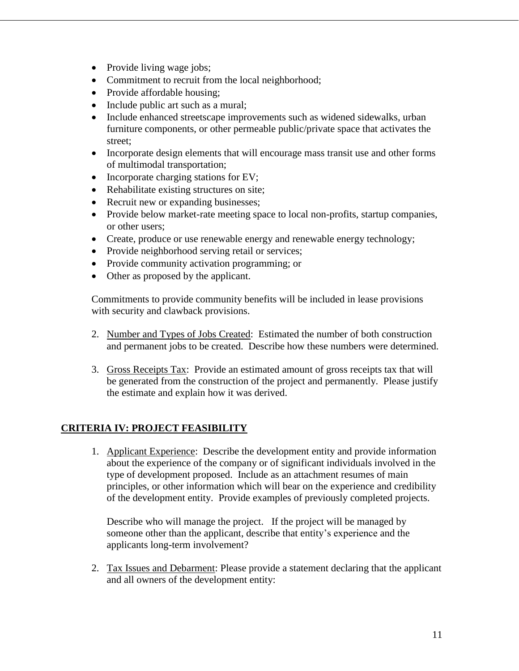- Provide living wage jobs;
- Commitment to recruit from the local neighborhood;
- Provide affordable housing;
- Include public art such as a mural;
- Include enhanced streetscape improvements such as widened sidewalks, urban furniture components, or other permeable public/private space that activates the street;
- Incorporate design elements that will encourage mass transit use and other forms of multimodal transportation;
- $\bullet$  Incorporate charging stations for EV;
- Rehabilitate existing structures on site;
- Recruit new or expanding businesses;
- Provide below market-rate meeting space to local non-profits, startup companies, or other users;
- Create, produce or use renewable energy and renewable energy technology;
- Provide neighborhood serving retail or services;
- Provide community activation programming; or
- Other as proposed by the applicant.

Commitments to provide community benefits will be included in lease provisions with security and clawback provisions.

- 2. Number and Types of Jobs Created: Estimated the number of both construction and permanent jobs to be created. Describe how these numbers were determined.
- 3. Gross Receipts Tax: Provide an estimated amount of gross receipts tax that will be generated from the construction of the project and permanently. Please justify the estimate and explain how it was derived.

# **CRITERIA IV: PROJECT FEASIBILITY**

1. Applicant Experience: Describe the development entity and provide information about the experience of the company or of significant individuals involved in the type of development proposed. Include as an attachment resumes of main principles, or other information which will bear on the experience and credibility of the development entity. Provide examples of previously completed projects.

Describe who will manage the project. If the project will be managed by someone other than the applicant, describe that entity's experience and the applicants long-term involvement?

2. Tax Issues and Debarment: Please provide a statement declaring that the applicant and all owners of the development entity: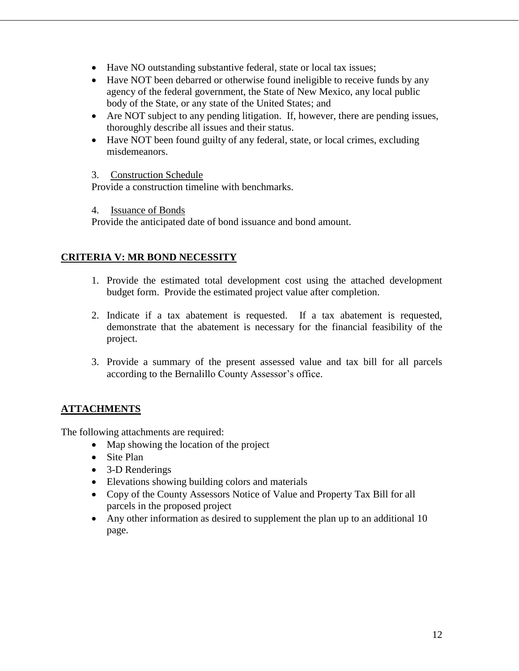- Have NO outstanding substantive federal, state or local tax issues;
- Have NOT been debarred or otherwise found ineligible to receive funds by any agency of the federal government, the State of New Mexico, any local public body of the State, or any state of the United States; and
- Are NOT subject to any pending litigation. If, however, there are pending issues, thoroughly describe all issues and their status.
- Have NOT been found guilty of any federal, state, or local crimes, excluding misdemeanors.

3. Construction Schedule

Provide a construction timeline with benchmarks.

4. Issuance of Bonds

Provide the anticipated date of bond issuance and bond amount.

### **CRITERIA V: MR BOND NECESSITY**

- 1. Provide the estimated total development cost using the attached development budget form. Provide the estimated project value after completion.
- 2. Indicate if a tax abatement is requested. If a tax abatement is requested, demonstrate that the abatement is necessary for the financial feasibility of the project.
- 3. Provide a summary of the present assessed value and tax bill for all parcels according to the Bernalillo County Assessor's office.

# **ATTACHMENTS**

The following attachments are required:

- Map showing the location of the project
- Site Plan
- 3-D Renderings
- Elevations showing building colors and materials
- Copy of the County Assessors Notice of Value and Property Tax Bill for all parcels in the proposed project
- Any other information as desired to supplement the plan up to an additional 10 page.